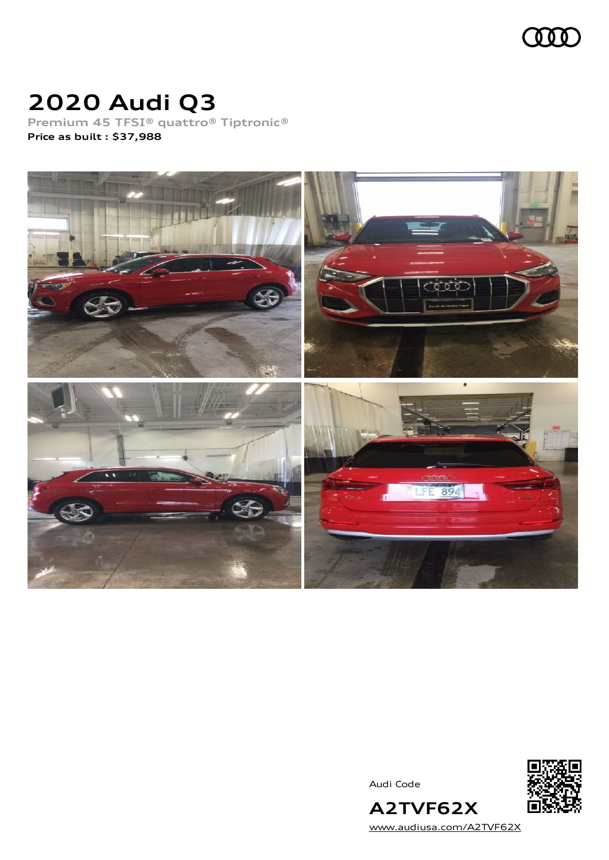

## **2020 Audi Q3**

**Premium 45 TFSI® quattro® Tiptronic® Price as built [:](#page-9-0) \$37,988**



Audi Code



**A2TVF62X** [www.audiusa.com/A2TVF62X](https://www.audiusa.com/A2TVF62X)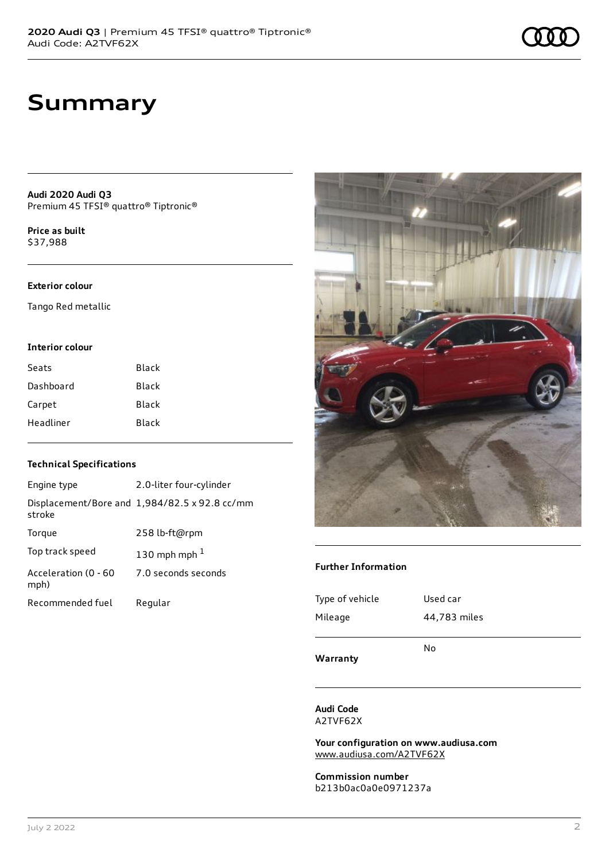### **Summary**

**Audi 2020 Audi Q3** Premium 45 TFSI® quattro® Tiptronic®

**Price as buil[t](#page-9-0)** \$37,988

#### **Exterior colour**

Tango Red metallic

#### **Interior colour**

| Seats     | Black |
|-----------|-------|
| Dashboard | Black |
| Carpet    | Black |
| Headliner | Black |

### **Technical Specifications**

| Engine type                  | 2.0-liter four-cylinder                       |
|------------------------------|-----------------------------------------------|
| stroke                       | Displacement/Bore and 1,984/82.5 x 92.8 cc/mm |
| Torque                       | 258 lb-ft@rpm                                 |
| Top track speed              | 130 mph mph $1$                               |
| Acceleration (0 - 60<br>mph) | 7.0 seconds seconds                           |
| Recommended fuel             | Regular                                       |



#### **Further Information**

| Warranty        | No           |
|-----------------|--------------|
| Mileage         | 44,783 miles |
| Type of vehicle | Used car     |

**Audi Code** A2TVF62X

**Your configuration on www.audiusa.com** [www.audiusa.com/A2TVF62X](https://www.audiusa.com/A2TVF62X)

**Commission number** b213b0ac0a0e0971237a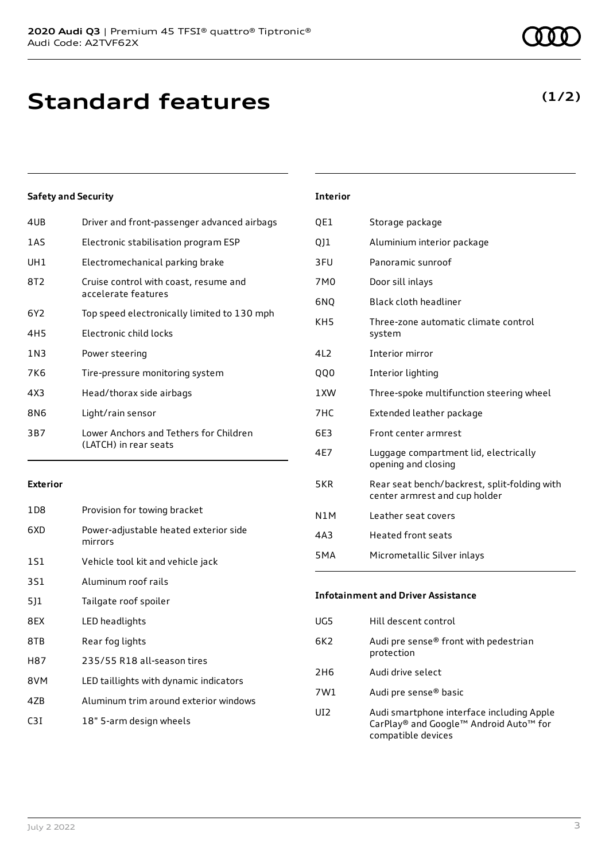### **Standard features**

### **Safety and Security**

| 4UB   | Driver and front-passenger advanced airbags                     |
|-------|-----------------------------------------------------------------|
| 1AS   | Electronic stabilisation program ESP                            |
| UH1   | Electromechanical parking brake                                 |
| 8T2   | Cruise control with coast, resume and<br>accelerate features    |
| 6Y2   | Top speed electronically limited to 130 mph                     |
| 4H5   | Electronic child locks                                          |
| 1 N 3 | Power steering                                                  |
| 7K6   | Tire-pressure monitoring system                                 |
| 4X3   | Head/thorax side airbags                                        |
| 8N6   | Light/rain sensor                                               |
| 3B7   | Lower Anchors and Tethers for Children<br>(LATCH) in rear seats |
|       |                                                                 |

#### **Exterior**

| 1D8 | Provision for towing bracket                     |
|-----|--------------------------------------------------|
| 6XD | Power-adjustable heated exterior side<br>mirrors |
| 1S1 | Vehicle tool kit and vehicle jack                |
| 3S1 | Aluminum roof rails                              |
| 511 | Tailgate roof spoiler                            |
| 8EX | LED headlights                                   |
| 8TB | Rear fog lights                                  |
| H87 | 235/55 R18 all-season tires                      |
| 8VM | LED taillights with dynamic indicators           |
| 47B | Aluminum trim around exterior windows            |
| C3T | 18" 5-arm design wheels                          |

### **Interior**

| QE1              | Storage package                                                               |
|------------------|-------------------------------------------------------------------------------|
| 011              | Aluminium interior package                                                    |
| 3FU              | Panoramic sunroof                                                             |
| 7M0              | Door sill inlays                                                              |
| 6NQ              | Black cloth headliner                                                         |
| KH <sub>5</sub>  | Three-zone automatic climate control<br>system                                |
| 4L2              | Interior mirror                                                               |
| <b>QQ0</b>       | Interior lighting                                                             |
| 1XW              | Three-spoke multifunction steering wheel                                      |
| 7HC              | Extended leather package                                                      |
| 6E3              | Front center armrest                                                          |
| 4E7              | Luggage compartment lid, electrically<br>opening and closing                  |
| 5KR              | Rear seat bench/backrest, split-folding with<br>center armrest and cup holder |
| N <sub>1</sub> M | Leather seat covers                                                           |
| 4A3              | <b>Heated front seats</b>                                                     |
| 5 <sub>M</sub> A | Micrometallic Silver inlays                                                   |
|                  |                                                                               |

### **Infotainment and Driver Assistance** UG5 Hill descent control 6K2 Audi pre sense® front with pedestrian protection 2H6 Audi drive select 7W1 Audi pre sense® basic UI2 Audi smartphone interface including Apple CarPlay® and Google™ Android Auto™ for compatible devices

### **(1/2)**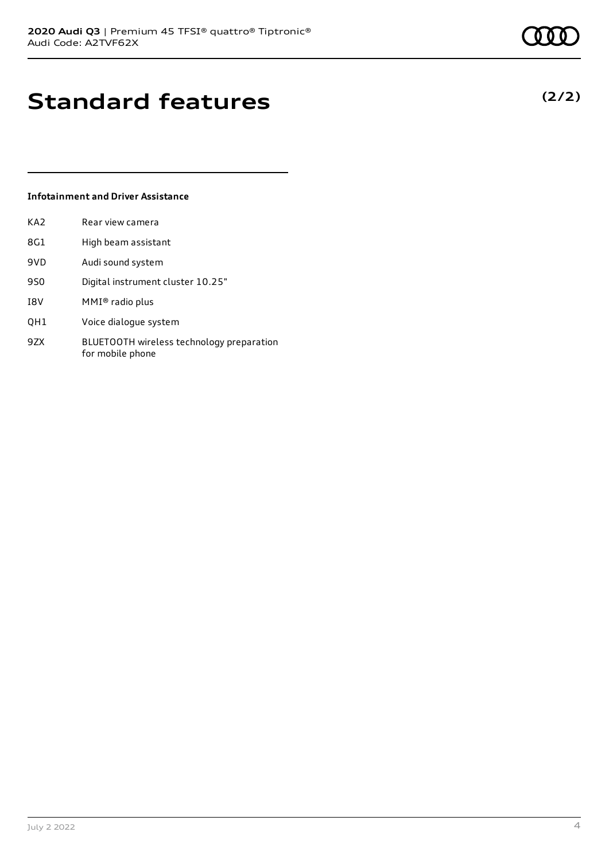**(2/2)**

### **Standard features**

### **Infotainment and Driver Assistance**

| KA <sub>2</sub> | Rear view camera    |
|-----------------|---------------------|
| 8G1             | High beam assistant |

- 9VD Audi sound system
- 9S0 Digital instrument cluster 10.25"
- I8V MMI® radio plus
- QH1 Voice dialogue system
- 9ZX BLUETOOTH wireless technology preparation for mobile phone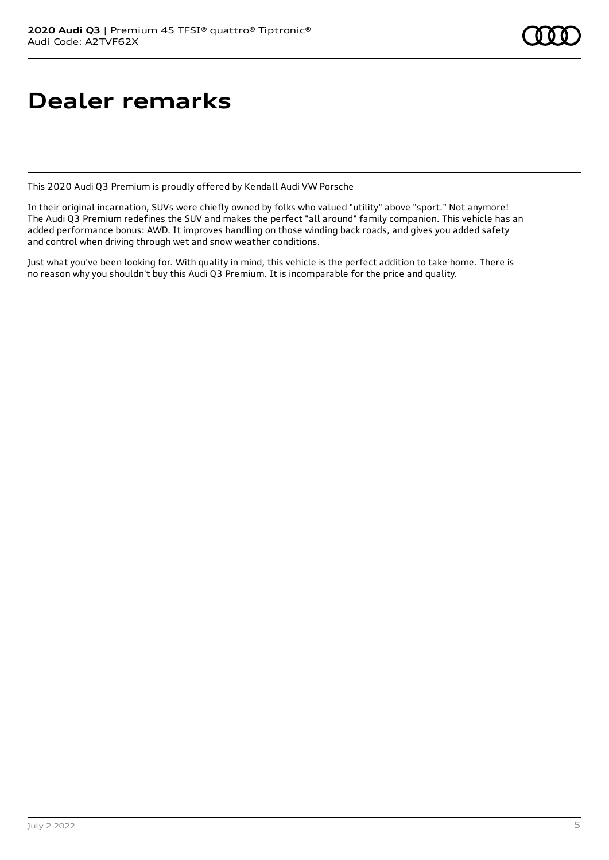# **Dealer remarks**

This 2020 Audi Q3 Premium is proudly offered by Kendall Audi VW Porsche

In their original incarnation, SUVs were chiefly owned by folks who valued "utility" above "sport." Not anymore! The Audi Q3 Premium redefines the SUV and makes the perfect "all around" family companion. This vehicle has an added performance bonus: AWD. It improves handling on those winding back roads, and gives you added safety and control when driving through wet and snow weather conditions.

Just what you've been looking for. With quality in mind, this vehicle is the perfect addition to take home. There is no reason why you shouldn't buy this Audi Q3 Premium. It is incomparable for the price and quality.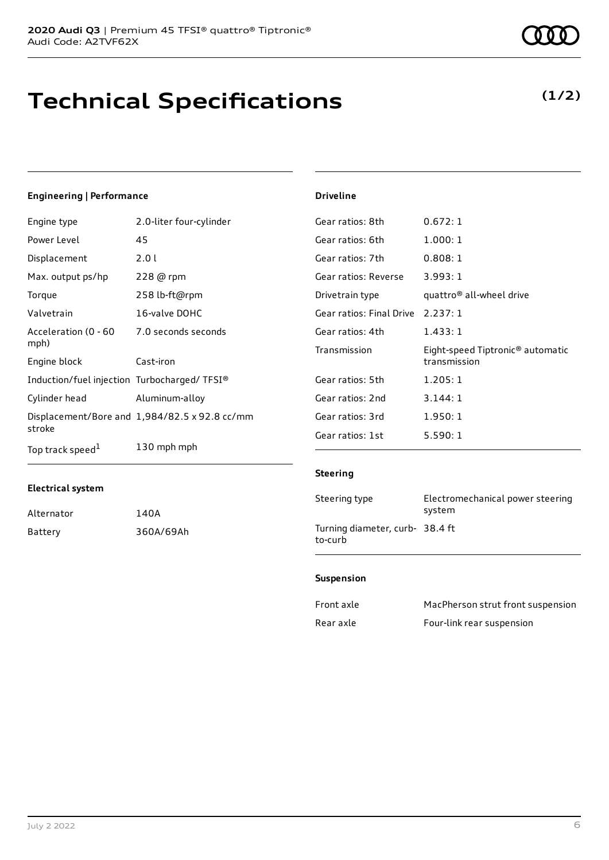### **Technical Specifications**

### **Engineering | Performance**

| Engine type                                 | 2.0-liter four-cylinder                       | Gear ratios: 8th         | 0.672:1                                      |
|---------------------------------------------|-----------------------------------------------|--------------------------|----------------------------------------------|
| Power Level                                 | 45                                            | Gear ratios: 6th         | 1.000:1                                      |
| Displacement                                | 2.0 l                                         | Gear ratios: 7th         | 0.808:1                                      |
| Max. output ps/hp                           | 228 @ rpm                                     | Gear ratios: Reverse     | 3.993:1                                      |
| Torque                                      | 258 lb-ft@rpm                                 | Drivetrain type          | quattro <sup>®</sup> all-wheel drive         |
| Valvetrain                                  | 16-valve DOHC                                 | Gear ratios: Final Drive | 2.237:1                                      |
| Acceleration (0 - 60                        | 7.0 seconds seconds                           | Gear ratios: 4th         | 1.433:1                                      |
| mph)                                        |                                               | Transmission             | Eight-speed Tiptronic <sup>®</sup> automatic |
| Engine block                                | Cast-iron                                     |                          | transmission                                 |
| Induction/fuel injection Turbocharged/TFSI® |                                               | Gear ratios: 5th         | 1.205:1                                      |
| Cylinder head                               | Aluminum-alloy                                | Gear ratios: 2nd         | 3.144:1                                      |
| stroke                                      | Displacement/Bore and 1,984/82.5 x 92.8 cc/mm | Gear ratios: 3rd         | 1.950:1                                      |
|                                             |                                               | Gear ratios: 1st         | 5.590:1                                      |
| Top track speed <sup>1</sup>                | 130 mph mph                                   |                          |                                              |

#### **Electrical system**

| Alternator | 140A      |
|------------|-----------|
| Battery    | 360A/69Ah |

**Driveline**

| Steering type                              | Electromechanical power steering<br>system |
|--------------------------------------------|--------------------------------------------|
| Turning diameter, curb- 38.4 ft<br>to-curb |                                            |

#### **Suspension**

| Front axle | MacPherson strut front suspension |
|------------|-----------------------------------|
| Rear axle  | Four-link rear suspension         |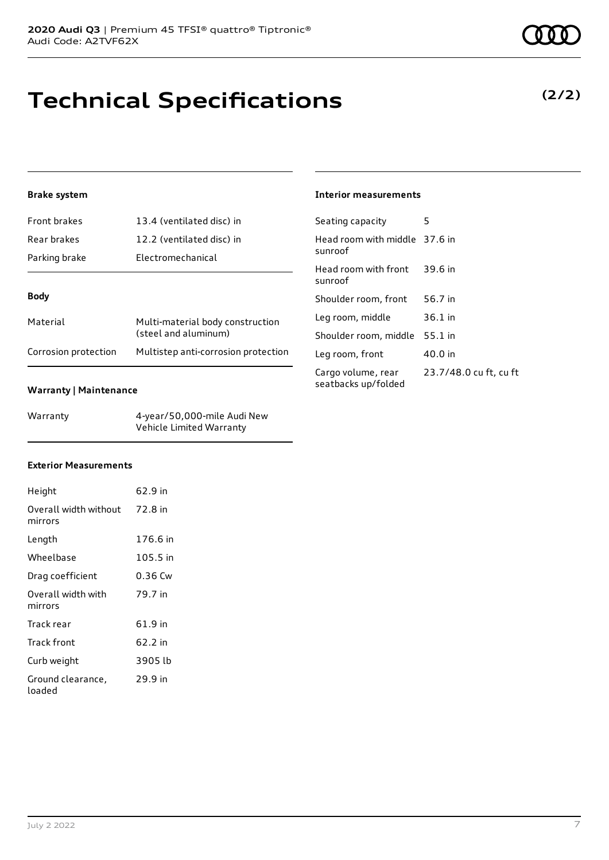# **Technical Specifications**

### **Brake system**

| Front brakes  | 13.4 (ventilated disc) in                                |
|---------------|----------------------------------------------------------|
| Rear brakes   | 12.2 (ventilated disc) in                                |
| Parking brake | <b>Electromechanical</b>                                 |
|               |                                                          |
| <b>Body</b>   |                                                          |
| Material      | Multi-material body construction<br>(steel and aluminum) |
|               |                                                          |

#### **Warranty | Maintenance**

| Warranty | 4-year/50,000-mile Audi New |
|----------|-----------------------------|
|          | Vehicle Limited Warranty    |

### **Interior measurements**

| Seating capacity                          | 5                      |
|-------------------------------------------|------------------------|
| Head room with middle 37.6 in<br>sunroof  |                        |
| Head room with front<br>sunroof           | 39.6 in                |
| Shoulder room, front                      | 56.7 in                |
| Leg room, middle                          | $36.1$ in              |
| Shoulder room, middle                     | 55.1 in                |
| Leg room, front                           | 40.0 in                |
| Cargo volume, rear<br>seatbacks up/folded | 23.7/48.0 cu ft, cu ft |

### **Exterior Measurements**

| Height                           | 62.9 in  |
|----------------------------------|----------|
| Overall width without<br>mirrors | 72.8 in  |
| Length                           | 176.6 in |
| Wheelbase                        | 105.5 in |
| Drag coefficient                 | 0.36 Cw  |
| Overall width with<br>mirrors    | 79.7 in  |
| Track rear                       | 61.9 in  |
| Track front                      | 62.2 in  |
| Curb weight                      | 3905 lb  |
| Ground clearance,<br>loaded      | 29.9 in  |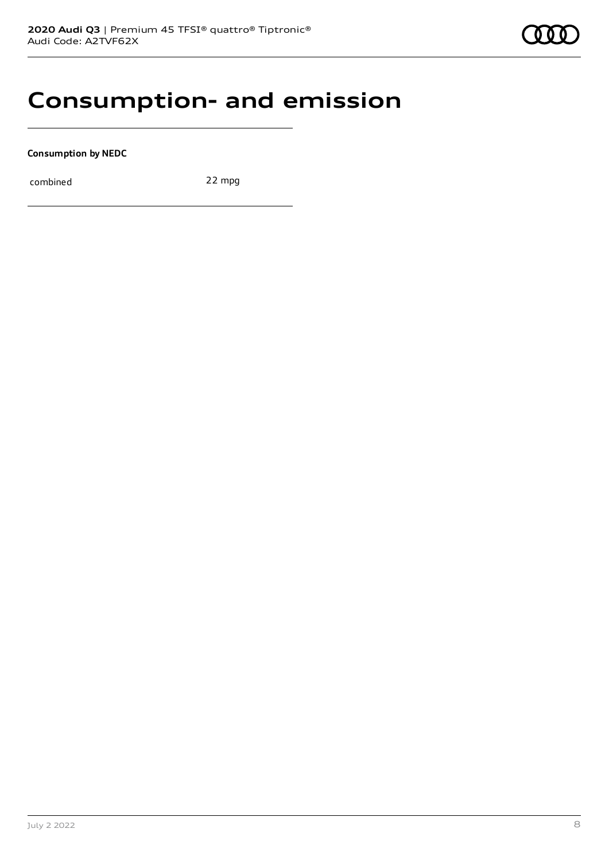### **Consumption- and emission**

**Consumption by NEDC**

combined 22 mpg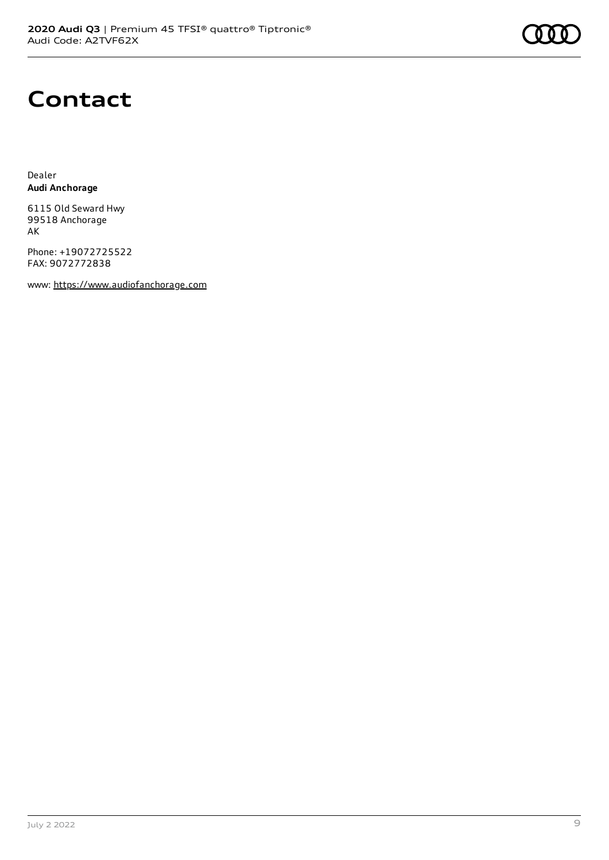

### **Contact**

Dealer **Audi Anchorage**

6115 Old Seward Hwy 99518 Anchorage AK

Phone: +19072725522 FAX: 9072772838

www: [https://www.audiofanchorage.com](https://www.audiofanchorage.com/)